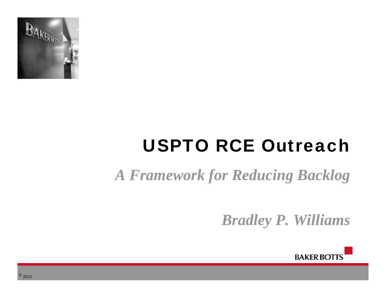

# USPTO RCE Outreach

# *A Framework for Reducing Backlog*

*Bradley P. Williams* 



 $^{\circ}$  2013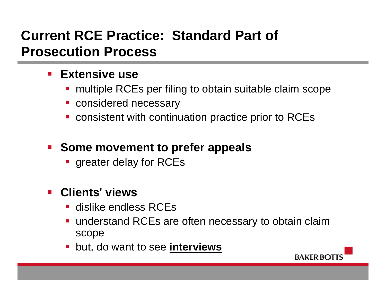### **Current RCE Practice: Standard Part of Prosecution Process**

#### **Extensive use**

- multiple RCEs per filing to obtain suitable claim scope
- **considered necessary**
- **CONSIMENT CONTIGE 1** continuation practice prior to RCEs

#### **F** Some movement to prefer appeals

**greater delay for RCEs** 

#### $\mathcal{L}_{\text{max}}$ **Clients' views**

- **dislike endless RCEs**
- understand RCEs are often necessary to obtain claim scope
- but, do want to see **interviews**

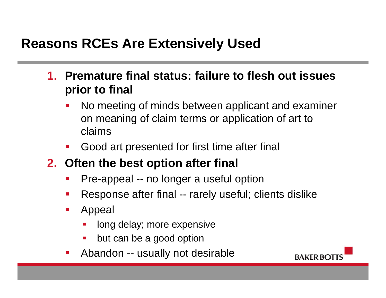#### **Reasons RCEs Are Extensively Used**

- **1. Premature final status: failure to flesh out issues prior to final** 
	- P) No meeting of minds between applicant and examiner on meaning of claim terms or application of art to claims
	- $\mathbb{R}^3$ Good art presented for first time after final
- **2. Often the best option after final** 
	- P) Pre-appeal -- no longer a useful option
	- Response after final -- rarely useful; clients dislike
	- $\mathcal{L}_{\mathcal{A}}$  Appeal
		- long delay; more expensive
		- $\blacksquare$ but can be a good option
	- P) Abandon -- usually not desirable

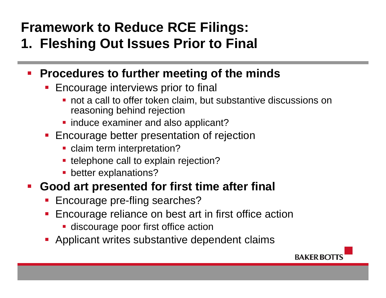#### **Framework to Reduce RCE Filings: 1. Fleshing Out Issues Prior to Final**

- **Procedures to further meeting of the minds** 
	- $\mathcal{L}(\mathcal{L})$  Encourage interviews prior to final
		- not a call to offer token claim, but substantive discussions on reasoning behind rejection
		- **Ional induce examiner and also applicant?**
	- **Encourage better presentation of rejection** 
		- **Claim term interpretation?**
		- **telephone call to explain rejection?**
		- **Detter explanations?**

#### $\mathcal{L}_{\mathcal{A}}$ **Good art presented for first time after final**

- e<br>S Encourage pre-fling searches?
- e<br>S Encourage reliance on best art in first office action
	- **-** discourage poor first office action
- **Applicant writes substantive dependent claims**

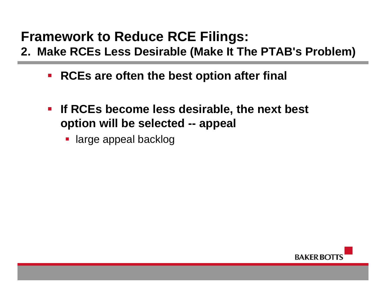### **Framework to Reduce RCE Filings:**

- **2. Make RCEs Less Desirable (Make It The PTAB's Problem)** 
	- $\mathcal{L}_{\mathcal{A}}$ **RCEs are often the best option after final**
	- **If RCEs become less desirable, the next best option will be selected -- appeal**
		- **-** large appeal backlog

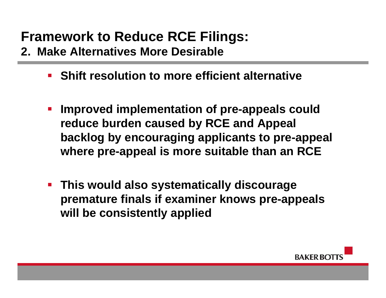## **Framework to Reduce RCE Filings:**

- **2. Make Alternatives More Desirable** 
	- **Shift resolution to more efficient alternative**
	- **Improved implementation of pre-appeals could reduce burden caused by RCE and Appeal backlog by encouraging applicants to pre-appeal where pre-appeal is more suitable than an RCE**
	- **This would also systematically discourage premature finals if examiner knows pre-appeals will be consistently applied**

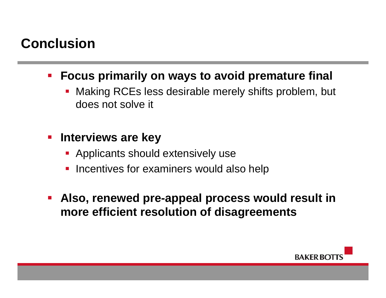#### **Conclusion**

- $\mathcal{L}_{\mathcal{A}}$  **Focus primarily on ways to avoid premature final**
	- $\mathbb{R}^3$  Making RCEs less desirable merely shifts problem, but does not solve it
- $\mathcal{L}_{\mathcal{A}}$  **Interviews are key** 
	- **Applicants should extensively use**
	- P) Incentives for examiners would also help
- $\mathcal{L}_{\mathcal{A}}$  **Also, renewed pre-appeal process would result in more efficient resolution of disagreements**